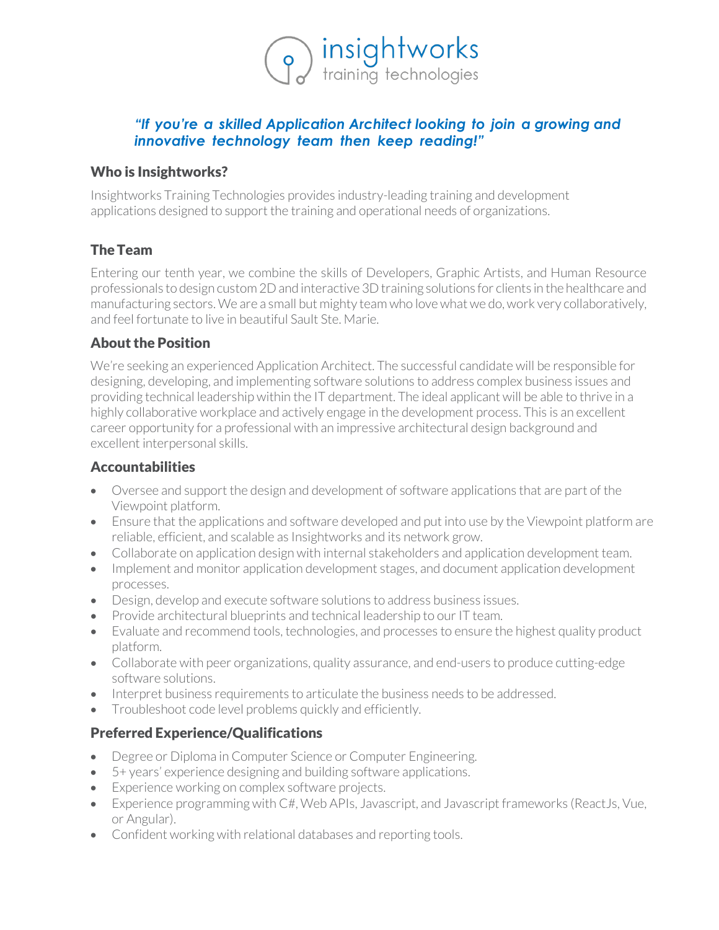# *"If you're a skilled Application Architect looking to join a growing and innovative technology team then keep reading!"*

o insightworks<br>training technologies

#### Who is Insightworks?

Insightworks Training Technologies provides industry-leading training and development applications designed to support the training and operational needs of organizations.

### TheTeam

Entering our tenth year, we combine the skills of Developers, Graphic Artists, and Human Resource professionals to design custom 2D and interactive 3D training solutions for clients in the healthcare and manufacturing sectors. We are a small but mighty team who love what we do, work very collaboratively, and feel fortunate to live in beautiful Sault Ste. Marie.

#### About the Position

We're seeking an experienced Application Architect. The successful candidate will be responsible for designing, developing, and implementing software solutions to address complex business issues and providing technical leadership within the IT department. The ideal applicant will be able to thrive in a highly collaborative workplace and actively engage in the development process. This is an excellent career opportunity for a professional with an impressive architectural design background and excellent interpersonal skills.

#### Accountabilities

- Oversee and support the design and development of software applications that are part of the Viewpoint platform.
- Ensure that the applications and software developed and put into use by the Viewpoint platform are reliable, efficient, and scalable as Insightworks and its network grow.
- Collaborate on application design with internal stakeholders and application development team.
- Implement and monitor application development stages, and document application development processes.
- Design, develop and execute software solutions to address business issues.
- Provide architectural blueprints and technical leadership to our IT team.
- Evaluate and recommend tools, technologies, and processes to ensure the highest quality product platform.
- Collaborate with peer organizations, quality assurance, and end-users to produce cutting-edge software solutions.
- Interpret business requirements to articulate the business needs to be addressed.
- Troubleshoot code level problems quickly and efficiently.

### Preferred Experience/Qualifications

- Degree or Diploma in Computer Science or Computer Engineering.
- 5+ years' experience designing and building software applications.
- Experience working on complex software projects.
- Experience programming with C#, Web APIs, Javascript, and Javascript frameworks (ReactJs, Vue, or Angular).
- Confident working with relational databases and reporting tools.